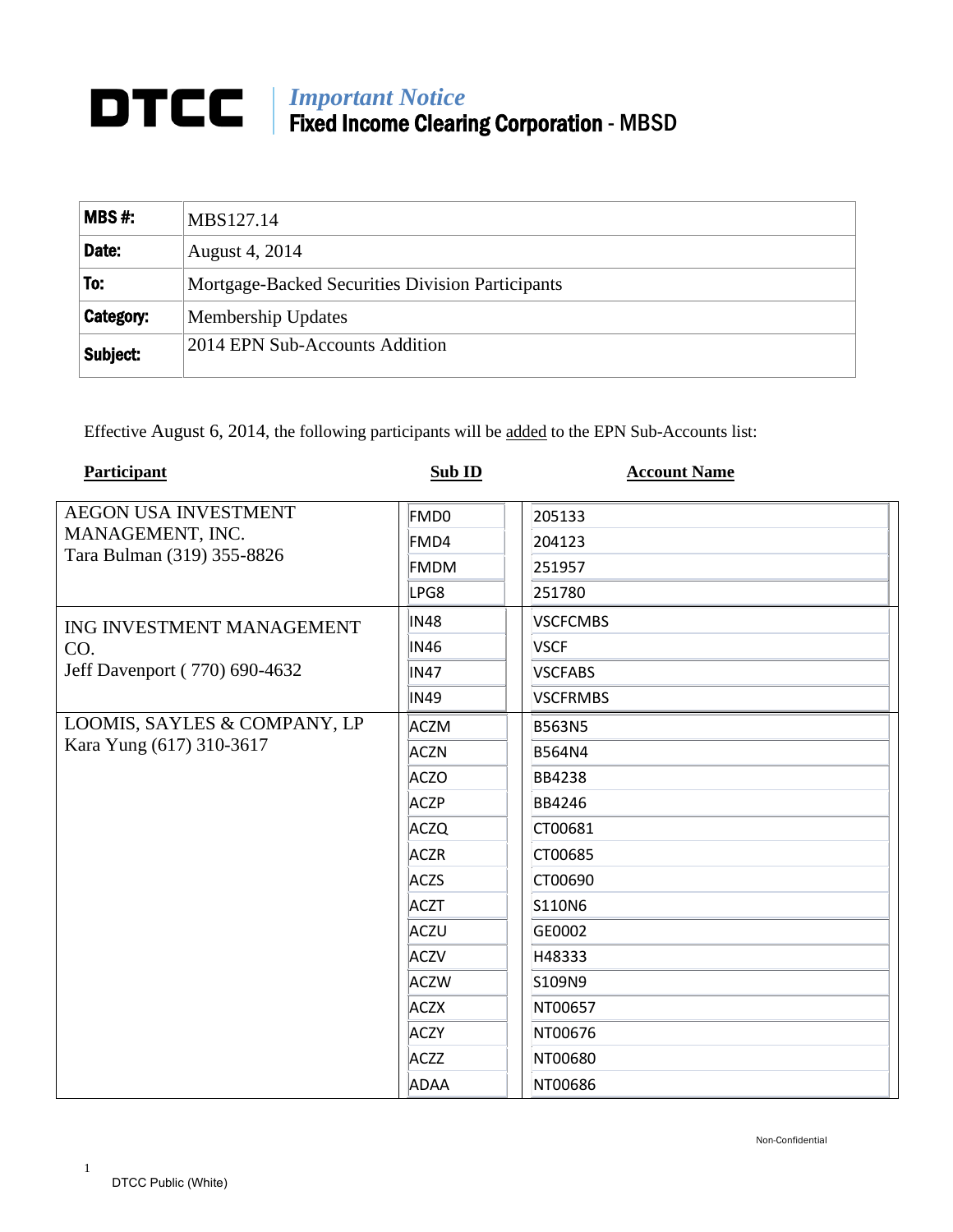## *Important Notice* Fixed Income Clearing Corporation - MBSD

| MBS#:     | MBS127.14                                        |  |
|-----------|--------------------------------------------------|--|
| Date:     | August 4, 2014                                   |  |
| To:       | Mortgage-Backed Securities Division Participants |  |
| Category: | Membership Updates                               |  |
| Subject:  | 2014 EPN Sub-Accounts Addition                   |  |

Effective August 6, 2014, the following participants will be added to the EPN Sub-Accounts list:

| Participant                   | Sub ID      | <b>Account Name</b> |
|-------------------------------|-------------|---------------------|
| <b>AEGON USA INVESTMENT</b>   | FMD0        | 205133              |
| MANAGEMENT, INC.              | FMD4        | 204123              |
| Tara Bulman (319) 355-8826    | FMDM        | 251957              |
|                               | LPG8        | 251780              |
| ING INVESTMENT MANAGEMENT     | <b>IN48</b> | <b>VSCFCMBS</b>     |
| CO.                           | <b>IN46</b> | <b>VSCF</b>         |
| Jeff Davenport (770) 690-4632 | <b>IN47</b> | <b>VSCFABS</b>      |
|                               | <b>IN49</b> | <b>VSCFRMBS</b>     |
| LOOMIS, SAYLES & COMPANY, LP  | <b>ACZM</b> | <b>B563N5</b>       |
| Kara Yung (617) 310-3617      | <b>ACZN</b> | <b>B564N4</b>       |
|                               | <b>ACZO</b> | <b>BB4238</b>       |
|                               | <b>ACZP</b> | <b>BB4246</b>       |
|                               | <b>ACZQ</b> | CT00681             |
|                               | <b>ACZR</b> | CT00685             |
|                               | <b>ACZS</b> | CT00690             |
|                               | <b>ACZT</b> | S110N6              |
|                               | ACZU        | GE0002              |
|                               | <b>ACZV</b> | H48333              |
|                               | <b>ACZW</b> | S109N9              |
|                               | <b>ACZX</b> | NT00657             |
|                               | <b>ACZY</b> | NT00676             |
|                               | <b>ACZZ</b> | NT00680             |
|                               | ADAA        | NT00686             |

1